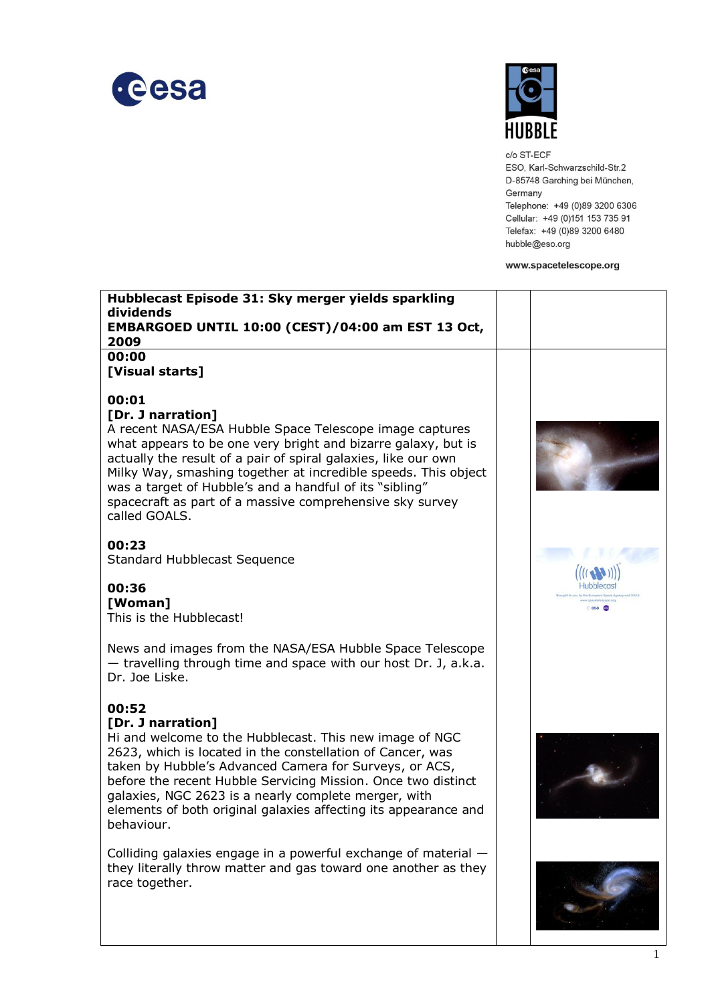



c/o ST-ECF ESO, Karl-Schwarzschild-Str.2 D-85748 Garching bei München, Germany Telephone: +49 (0)89 3200 6306 Cellular: +49 (0)151 153 735 91 Telefax: +49 (0)89 3200 6480 hubble@eso.org

www.spacetelescope.org

| Hubblecast Episode 31: Sky merger yields sparkling<br>dividends<br>EMBARGOED UNTIL 10:00 (CEST)/04:00 am EST 13 Oct,<br>2009                                                                                                                                                                                                                                                                                                       |         |
|------------------------------------------------------------------------------------------------------------------------------------------------------------------------------------------------------------------------------------------------------------------------------------------------------------------------------------------------------------------------------------------------------------------------------------|---------|
| 00:00<br>[Visual starts]                                                                                                                                                                                                                                                                                                                                                                                                           |         |
| 00:01<br>[Dr. J narration]<br>A recent NASA/ESA Hubble Space Telescope image captures<br>what appears to be one very bright and bizarre galaxy, but is<br>actually the result of a pair of spiral galaxies, like our own<br>Milky Way, smashing together at incredible speeds. This object<br>was a target of Hubble's and a handful of its "sibling"<br>spacecraft as part of a massive comprehensive sky survey<br>called GOALS. |         |
| 00:23<br><b>Standard Hubblecast Sequence</b>                                                                                                                                                                                                                                                                                                                                                                                       |         |
| 00:36<br>[Woman]<br>This is the Hubblecast!                                                                                                                                                                                                                                                                                                                                                                                        | esa com |
| News and images from the NASA/ESA Hubble Space Telescope<br>- travelling through time and space with our host Dr. J, a.k.a.<br>Dr. Joe Liske.                                                                                                                                                                                                                                                                                      |         |
| 00:52<br>[Dr. J narration]<br>Hi and welcome to the Hubblecast. This new image of NGC<br>2623, which is located in the constellation of Cancer, was<br>taken by Hubble's Advanced Camera for Surveys, or ACS,<br>before the recent Hubble Servicing Mission. Once two distinct<br>galaxies, NGC 2623 is a nearly complete merger, with<br>elements of both original galaxies affecting its appearance and<br>behaviour.            |         |
| Colliding galaxies engage in a powerful exchange of material $-$<br>they literally throw matter and gas toward one another as they<br>race together.                                                                                                                                                                                                                                                                               |         |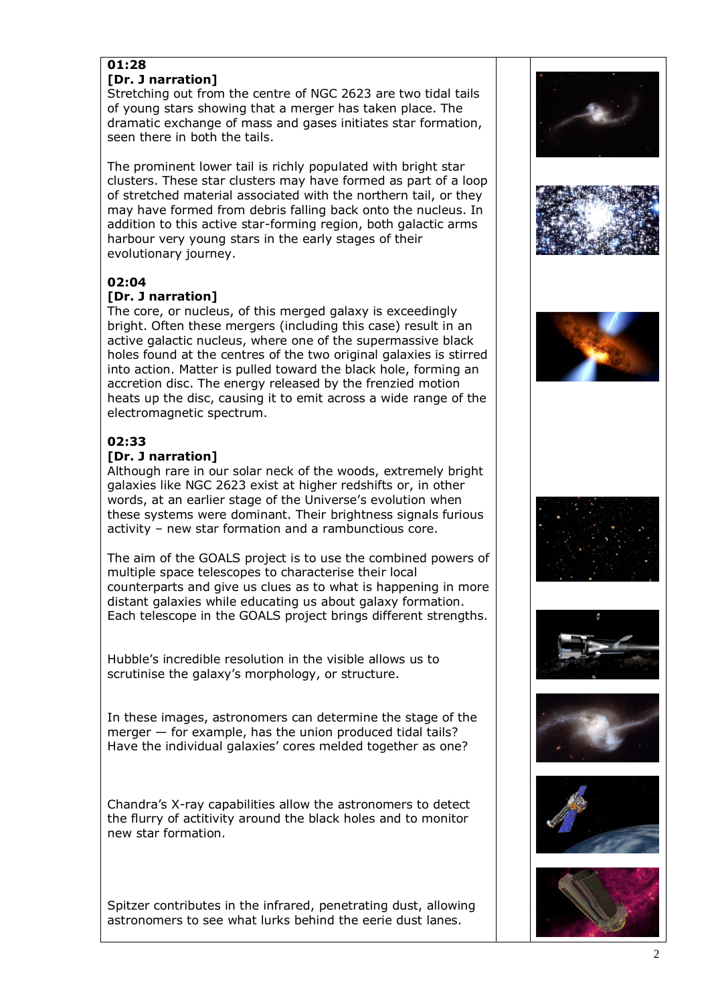# **01:28**

#### **[Dr. J narration]**

Stretching out from the centre of NGC 2623 are two tidal tails of young stars showing that a merger has taken place. The dramatic exchange of mass and gases initiates star formation, seen there in both the tails.

The prominent lower tail is richly populated with bright star clusters. These star clusters may have formed as part of a loop of stretched material associated with the northern tail, or they may have formed from debris falling back onto the nucleus. In addition to this active star-forming region, both galactic arms harbour very young stars in the early stages of their evolutionary journey.

## **02:04**

### **[Dr. J narration]**

The core, or nucleus, of this merged galaxy is exceedingly bright. Often these mergers (including this case) result in an active galactic nucleus, where one of the supermassive black holes found at the centres of the two original galaxies is stirred into action. Matter is pulled toward the black hole, forming an accretion disc. The energy released by the frenzied motion heats up the disc, causing it to emit across a wide range of the electromagnetic spectrum.

## **02:33**

#### **[Dr. J narration]**

Although rare in our solar neck of the woods, extremely bright galaxies like NGC 2623 exist at higher redshifts or, in other words, at an earlier stage of the Universe's evolution when these systems were dominant. Their brightness signals furious activity – new star formation and a rambunctious core.

The aim of the GOALS project is to use the combined powers of multiple space telescopes to characterise their local counterparts and give us clues as to what is happening in more distant galaxies while educating us about galaxy formation. Each telescope in the GOALS project brings different strengths.

Hubble's incredible resolution in the visible allows us to scrutinise the galaxy's morphology, or structure.

In these images, astronomers can determine the stage of the merger — for example, has the union produced tidal tails? Have the individual galaxies' cores melded together as one?

Chandra's X-ray capabilities allow the astronomers to detect the flurry of actitivity around the black holes and to monitor new star formation.

Spitzer contributes in the infrared, penetrating dust, allowing astronomers to see what lurks behind the eerie dust lanes.